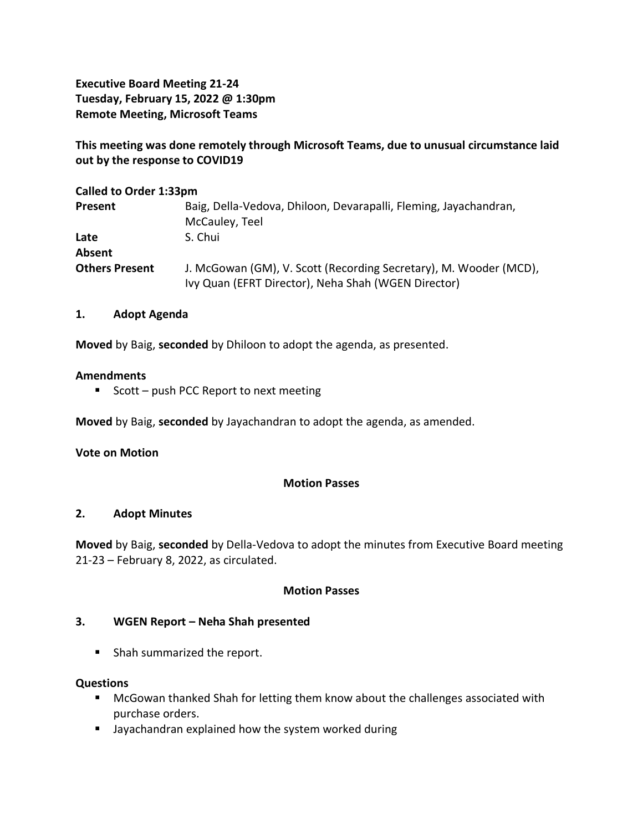**Executive Board Meeting 21-24 Tuesday, February 15, 2022 @ 1:30pm Remote Meeting, Microsoft Teams**

**This meeting was done remotely through Microsoft Teams, due to unusual circumstance laid out by the response to COVID19**

| <b>Called to Order 1:33pm</b> |                                                                                                                          |
|-------------------------------|--------------------------------------------------------------------------------------------------------------------------|
| <b>Present</b>                | Baig, Della-Vedova, Dhiloon, Devarapalli, Fleming, Jayachandran,                                                         |
|                               | McCauley, Teel                                                                                                           |
| Late                          | S. Chui                                                                                                                  |
| Absent                        |                                                                                                                          |
| <b>Others Present</b>         | J. McGowan (GM), V. Scott (Recording Secretary), M. Wooder (MCD),<br>Ivy Quan (EFRT Director), Neha Shah (WGEN Director) |

### **1. Adopt Agenda**

**Moved** by Baig, **seconded** by Dhiloon to adopt the agenda, as presented.

#### **Amendments**

■ Scott – push PCC Report to next meeting

**Moved** by Baig, **seconded** by Jayachandran to adopt the agenda, as amended.

#### **Vote on Motion**

#### **Motion Passes**

#### **2. Adopt Minutes**

**Moved** by Baig, **seconded** by Della-Vedova to adopt the minutes from Executive Board meeting 21-23 – February 8, 2022, as circulated.

#### **Motion Passes**

### **3. WGEN Report – Neha Shah presented**

■ Shah summarized the report.

#### **Questions**

- McGowan thanked Shah for letting them know about the challenges associated with purchase orders.
- Jayachandran explained how the system worked during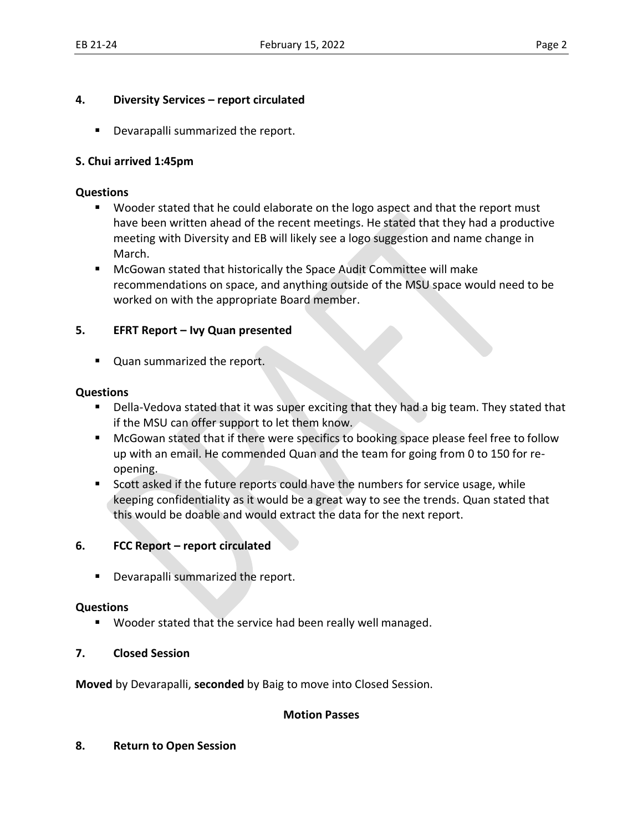### **4. Diversity Services – report circulated**

■ Devarapalli summarized the report.

## **S. Chui arrived 1:45pm**

#### **Questions**

- Wooder stated that he could elaborate on the logo aspect and that the report must have been written ahead of the recent meetings. He stated that they had a productive meeting with Diversity and EB will likely see a logo suggestion and name change in March.
- McGowan stated that historically the Space Audit Committee will make recommendations on space, and anything outside of the MSU space would need to be worked on with the appropriate Board member.

### **5. EFRT Report – Ivy Quan presented**

■ Quan summarized the report.

### **Questions**

- Della-Vedova stated that it was super exciting that they had a big team. They stated that if the MSU can offer support to let them know.
- McGowan stated that if there were specifics to booking space please feel free to follow up with an email. He commended Quan and the team for going from 0 to 150 for reopening.
- Scott asked if the future reports could have the numbers for service usage, while keeping confidentiality as it would be a great way to see the trends. Quan stated that this would be doable and would extract the data for the next report.

# **6. FCC Report – report circulated**

**•** Devarapalli summarized the report.

### **Questions**

■ Wooder stated that the service had been really well managed.

### **7. Closed Session**

**Moved** by Devarapalli, **seconded** by Baig to move into Closed Session.

### **Motion Passes**

#### **8. Return to Open Session**